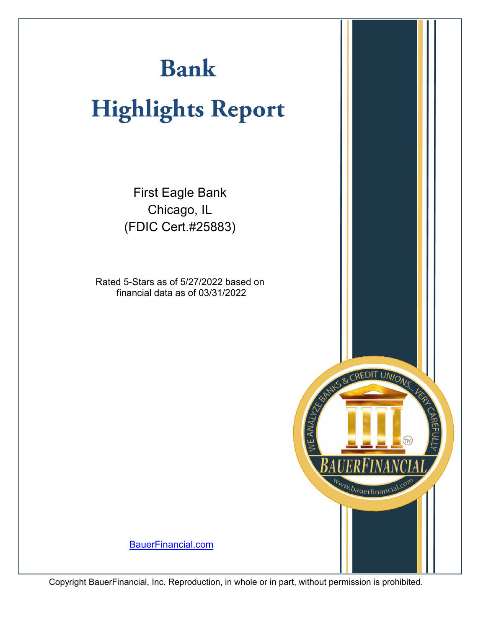# **Bank**

# **Highlights Report**

First Eagle Bank Chicago, IL (FDIC Cert.#25883)

Rated 5-Stars as of 5/27/2022 based on financial data as of 03/31/2022



[BauerFinancial.com](http://www.bauerfinancial.com)

Copyright BauerFinancial, Inc. Reproduction, in whole or in part, without permission is prohibited.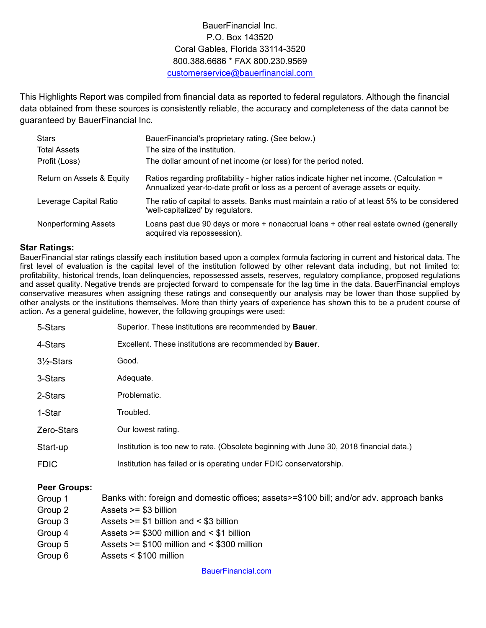### BauerFinancial Inc. P.O. Box 143520 Coral Gables, Florida 33114-3520 800.388.6686 \* FAX 800.230.9569 customerservice@bauerfinancial.com

This Highlights Report was compiled from financial data as reported to federal regulators. Although the financial data obtained from these sources is consistently reliable, the accuracy and completeness of the data cannot be guaranteed by BauerFinancial Inc.

| <b>Stars</b><br><b>Total Assets</b><br>Profit (Loss) | BauerFinancial's proprietary rating. (See below.)<br>The size of the institution.<br>The dollar amount of net income (or loss) for the period noted.                          |
|------------------------------------------------------|-------------------------------------------------------------------------------------------------------------------------------------------------------------------------------|
| Return on Assets & Equity                            | Ratios regarding profitability - higher ratios indicate higher net income. (Calculation =<br>Annualized year-to-date profit or loss as a percent of average assets or equity. |
| Leverage Capital Ratio                               | The ratio of capital to assets. Banks must maintain a ratio of at least 5% to be considered<br>'well-capitalized' by regulators.                                              |
| <b>Nonperforming Assets</b>                          | Loans past due 90 days or more + nonaccrual loans + other real estate owned (generally<br>acquired via repossession).                                                         |

#### **Star Ratings:**

BauerFinancial star ratings classify each institution based upon a complex formula factoring in current and historical data. The first level of evaluation is the capital level of the institution followed by other relevant data including, but not limited to: profitability, historical trends, loan delinquencies, repossessed assets, reserves, regulatory compliance, proposed regulations and asset quality. Negative trends are projected forward to compensate for the lag time in the data. BauerFinancial employs conservative measures when assigning these ratings and consequently our analysis may be lower than those supplied by other analysts or the institutions themselves. More than thirty years of experience has shown this to be a prudent course of action. As a general guideline, however, the following groupings were used:

| 5-Stars               | Superior. These institutions are recommended by Bauer.                                  |
|-----------------------|-----------------------------------------------------------------------------------------|
| 4-Stars               | Excellent. These institutions are recommended by <b>Bauer</b> .                         |
| $3\frac{1}{2}$ -Stars | Good.                                                                                   |
| 3-Stars               | Adequate.                                                                               |
| 2-Stars               | Problematic.                                                                            |
| 1-Star                | Troubled.                                                                               |
| Zero-Stars            | Our lowest rating.                                                                      |
| Start-up              | Institution is too new to rate. (Obsolete beginning with June 30, 2018 financial data.) |
| <b>FDIC</b>           | Institution has failed or is operating under FDIC conservatorship.                      |
|                       |                                                                                         |

#### **Peer Groups:**

- Group 1 Banks with: foreign and domestic offices; assets>=\$100 bill; and/or adv. approach banks
- Group 2 Assets >= \$3 billion
- Group 3 Assets >= \$1 billion and < \$3 billion
- Group 4 Assets >= \$300 million and < \$1 billion
- Group 5 Assets >= \$100 million and < \$300 million
- Group 6 Assets < \$100 million

[BauerFinancial.com](http://www.bauerfinancial.com)